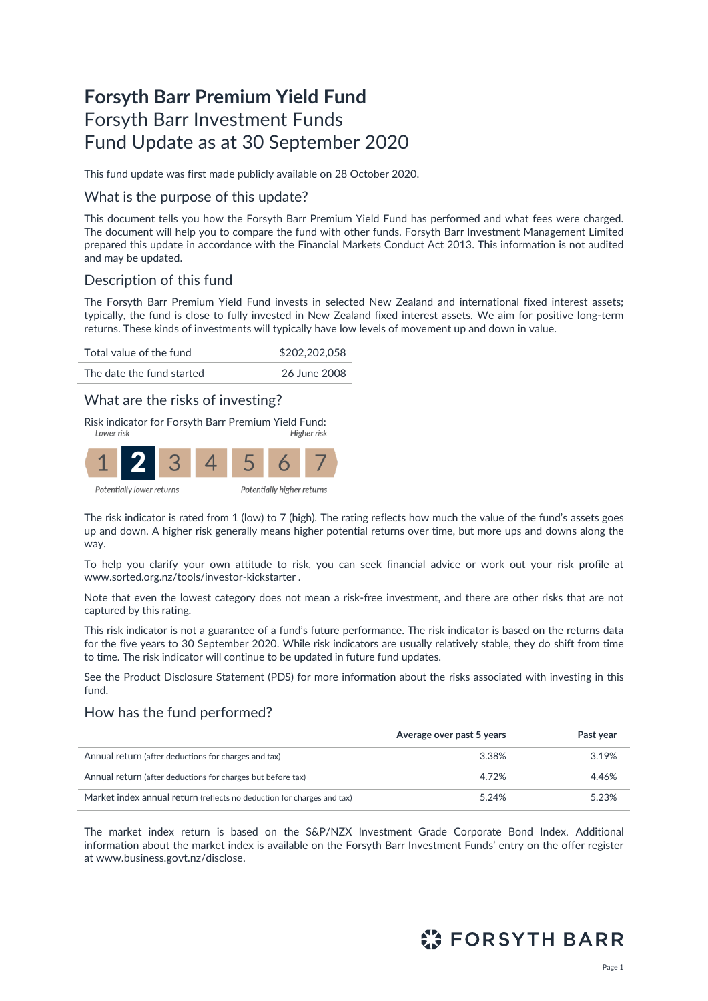# **Forsyth Barr Premium Yield Fund** Forsyth Barr Investment Funds Fund Update as at 30 September 2020

This fund update was first made publicly available on 28 October 2020.

### What is the purpose of this update?

This document tells you how the Forsyth Barr Premium Yield Fund has performed and what fees were charged. The document will help you to compare the fund with other funds. Forsyth Barr Investment Management Limited prepared this update in accordance with the Financial Markets Conduct Act 2013. This information is not audited and may be updated.

## Description of this fund

The Forsyth Barr Premium Yield Fund invests in selected New Zealand and international fixed interest assets; typically, the fund is close to fully invested in New Zealand fixed interest assets. We aim for positive long-term returns. These kinds of investments will typically have low levels of movement up and down in value.



## What are the risks of investing?

Risk indicator for Forsyth Barr Premium Yield Fund:



The risk indicator is rated from 1 (low) to 7 (high). The rating reflects how much the value of the fund's assets goes up and down. A higher risk generally means higher potential returns over time, but more ups and downs along the way.

To help you clarify your own attitude to risk, you can seek financial advice or work out your risk profile at [www.sorted.org.nz/tools/investor-kickstarter](http://www.sorted.org.nz/tools/investor-kickstarter) .

Note that even the lowest category does not mean a risk-free investment, and there are other risks that are not captured by this rating.

This risk indicator is not a guarantee of a fund's future performance. The risk indicator is based on the returns data for the five years to 30 September 2020. While risk indicators are usually relatively stable, they do shift from time to time. The risk indicator will continue to be updated in future fund updates.

See the Product Disclosure Statement (PDS) for more information about the risks associated with investing in this fund.

## How has the fund performed?

|                                                                        | Average over past 5 years | Past year |
|------------------------------------------------------------------------|---------------------------|-----------|
| Annual return (after deductions for charges and tax)                   | 3.38%                     | 3.19%     |
| Annual return (after deductions for charges but before tax)            | 4.72%                     | 4.46%     |
| Market index annual return (reflects no deduction for charges and tax) | 5.24%                     | 5.23%     |

The market index return is based on the S&P/NZX Investment Grade Corporate Bond Index. Additional information about the market index is available on the Forsyth Barr Investment Funds' entry on the offer register at [www.business.govt.nz/disclose.](http://www.business.govt.nz/disclose)

# **ET FORSYTH BARR**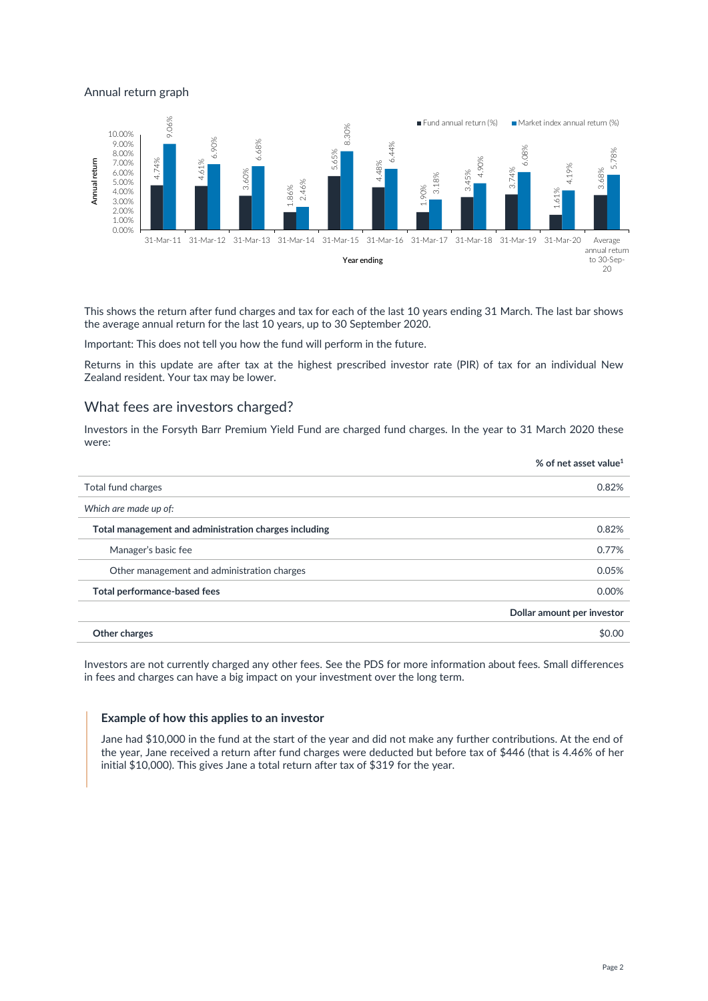#### Annual return graph



This shows the return after fund charges and tax for each of the last 10 years ending 31 March. The last bar shows the average annual return for the last 10 years, up to 30 September 2020.

Important: This does not tell you how the fund will perform in the future.

Returns in this update are after tax at the highest prescribed investor rate (PIR) of tax for an individual New Zealand resident. Your tax may be lower.

#### What fees are investors charged?

Investors in the Forsyth Barr Premium Yield Fund are charged fund charges. In the year to 31 March 2020 these were:

|                                                       | % of net asset value <sup>1</sup> |
|-------------------------------------------------------|-----------------------------------|
| Total fund charges                                    | 0.82%                             |
| Which are made up of:                                 |                                   |
| Total management and administration charges including | 0.82%                             |
| Manager's basic fee                                   | 0.77%                             |
| Other management and administration charges           | 0.05%                             |
| Total performance-based fees                          | 0.00%                             |
|                                                       | Dollar amount per investor        |
| Other charges                                         | \$0.00                            |

Investors are not currently charged any other fees. See the PDS for more information about fees. Small differences in fees and charges can have a big impact on your investment over the long term.

#### **Example of how this applies to an investor**

Jane had \$10,000 in the fund at the start of the year and did not make any further contributions. At the end of the year, Jane received a return after fund charges were deducted but before tax of \$446 (that is 4.46% of her initial \$10,000). This gives Jane a total return after tax of \$319 for the year.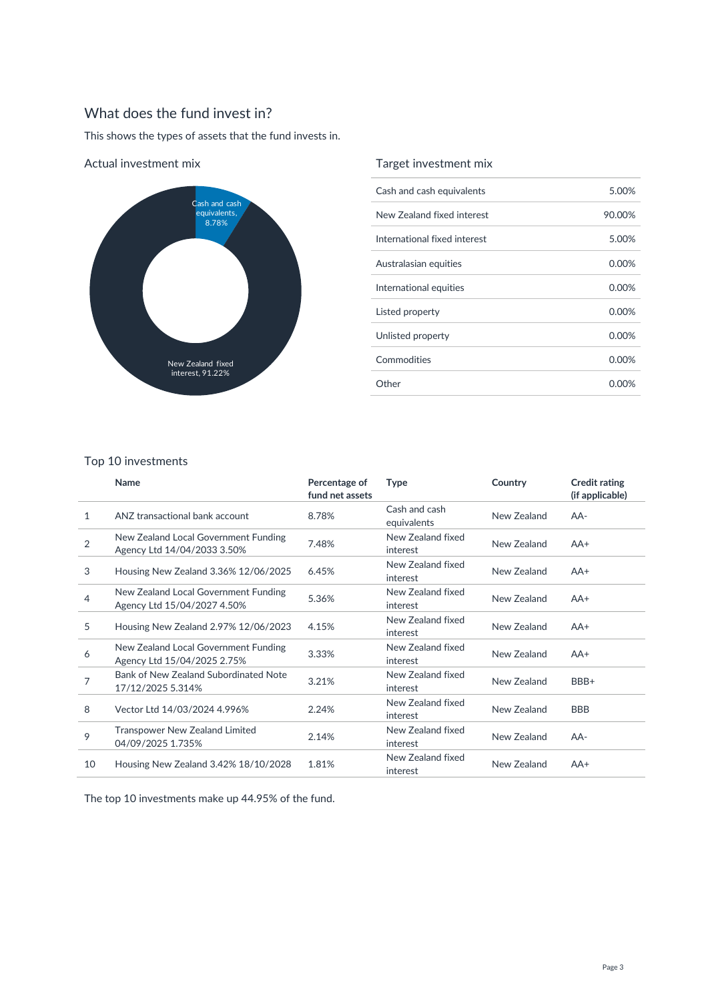# What does the fund invest in?

This shows the types of assets that the fund invests in.



Actual investment mix

### Target investment mix

| Cash and cash equivalents    | 5.00%    |
|------------------------------|----------|
| New Zealand fixed interest   | 90.00%   |
| International fixed interest | 5.00%    |
| Australasian equities        | 0.00%    |
| International equities       | $0.00\%$ |
| Listed property              | 0.00%    |
| Unlisted property            | 0.00%    |
| Commodities                  | $0.00\%$ |
| Other                        | 0.00%    |

#### Top 10 investments

|                | Name                                                                | Percentage of<br>fund net assets | <b>Type</b>                   | Country     | <b>Credit rating</b><br>(if applicable) |
|----------------|---------------------------------------------------------------------|----------------------------------|-------------------------------|-------------|-----------------------------------------|
| $\mathbf{1}$   | ANZ transactional bank account                                      | 8.78%                            | Cash and cash<br>equivalents  | New Zealand | $AA-$                                   |
| $\overline{2}$ | New Zealand Local Government Funding<br>Agency Ltd 14/04/2033 3.50% | 7.48%                            | New Zealand fixed<br>interest | New Zealand | $AA+$                                   |
| 3              | Housing New Zealand 3.36% 12/06/2025                                | 6.45%                            | New Zealand fixed<br>interest | New Zealand | $AA+$                                   |
| 4              | New Zealand Local Government Funding<br>Agency Ltd 15/04/2027 4.50% | 5.36%                            | New Zealand fixed<br>interest | New Zealand | $AA+$                                   |
| 5              | Housing New Zealand 2.97% 12/06/2023                                | 4.15%                            | New Zealand fixed<br>interest | New Zealand | $AA+$                                   |
| 6              | New Zealand Local Government Funding<br>Agency Ltd 15/04/2025 2.75% | 3.33%                            | New Zealand fixed<br>interest | New Zealand | $AA+$                                   |
| 7              | Bank of New Zealand Subordinated Note<br>17/12/2025 5.314%          | 3.21%                            | New Zealand fixed<br>interest | New Zealand | BBB+                                    |
| 8              | Vector Ltd 14/03/2024 4.996%                                        | 2.24%                            | New Zealand fixed<br>interest | New Zealand | <b>BBB</b>                              |
| 9              | <b>Transpower New Zealand Limited</b><br>04/09/2025 1.735%          | 2.14%                            | New Zealand fixed<br>interest | New Zealand | AA-                                     |
| 10             | Housing New Zealand 3.42% 18/10/2028                                | 1.81%                            | New Zealand fixed<br>interest | New Zealand | $AA+$                                   |

The top 10 investments make up 44.95% of the fund.